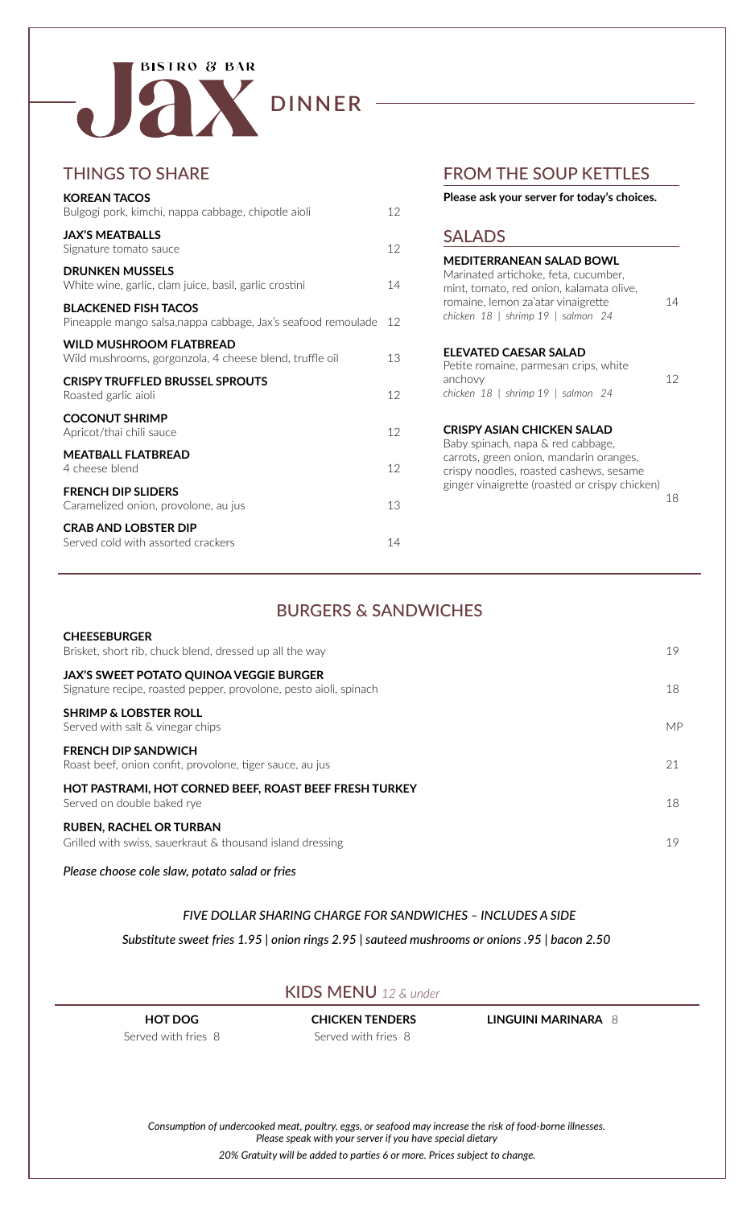

#### BURGERS & SANDWICHES

| <b>CHEESEBURGER</b><br>Brisket, short rib, chuck blend, dressed up all the way                                      | 19 |
|---------------------------------------------------------------------------------------------------------------------|----|
| <b>JAX'S SWEET POTATO QUINOA VEGGIE BURGER</b><br>Signature recipe, roasted pepper, provolone, pesto aioli, spinach | 18 |
| <b>SHRIMP &amp; LOBSTER ROLL</b><br>Served with salt & vinegar chips                                                | MP |
| <b>FRENCH DIP SANDWICH</b><br>Roast beef, onion confit, provolone, tiger sauce, au jus                              | 21 |
| HOT PASTRAMI, HOT CORNED BEEF, ROAST BEEF FRESH TURKEY<br>Served on double baked rye                                | 18 |
| <b>RUBEN, RACHEL OR TURBAN</b><br>Grilled with swiss, sauerkraut & thousand island dressing                         | 19 |

*Please choose cole slaw, potato salad or fries*

#### *FIVE DOLLAR SHARING CHARGE FOR SANDWICHES – INCLUDES A SIDE*

#### SALADS

| MEDITERRANEAN SALAD BOWL<br>Marinated artichoke, feta, cucumber,<br>mint, tomato, red onion, kalamata olive,<br>romaine, lemon za'atar vinaigrette<br>chicken 18   shrimp 19   salmon 24                | 14 |
|---------------------------------------------------------------------------------------------------------------------------------------------------------------------------------------------------------|----|
| <b>ELEVATED CAESAR SALAD</b><br>Petite romaine, parmesan crips, white<br>anchovy<br>chicken 18   shrimp 19   salmon 24                                                                                  | 12 |
| CRISPY ASIAN CHICKEN SALAD<br>Baby spinach, napa & red cabbage,<br>carrots, green onion, mandarin oranges,<br>crispy noodles, roasted cashews, sesame<br>ginger vinaigrette (roasted or crispy chicken) | 18 |

### FROM THE SOUP KETTLES

#### **Please ask your server for today's choices.**

### THINGS TO SHARE



| <b>KOREAN TACOS</b>                                                                          |    |
|----------------------------------------------------------------------------------------------|----|
| Bulgogi pork, kimchi, nappa cabbage, chipotle aioli                                          | 12 |
| <b>JAX'S MEATBALLS</b><br>Signature tomato sauce                                             | 12 |
| <b>DRUNKEN MUSSELS</b><br>White wine, garlic, clam juice, basil, garlic crostini             | 14 |
| <b>BLACKENED FISH TACOS</b><br>Pineapple mango salsa, nappa cabbage, Jax's seafood remoulade | 12 |
| <b>WILD MUSHROOM FLATBREAD</b><br>Wild mushrooms, gorgonzola, 4 cheese blend, truffle oil    | 13 |
| <b>CRISPY TRUFFLED BRUSSEL SPROUTS</b><br>Roasted garlic aioli                               | 12 |
| <b>COCONUT SHRIMP</b><br>Apricot/thai chili sauce                                            | 12 |
| <b>MEATBALL FLATBREAD</b><br>4 cheese blend                                                  | 12 |
| <b>FRENCH DIP SLIDERS</b><br>Caramelized onion, provolone, au jus                            | 13 |
| <b>CRAB AND LOBSTER DIP</b><br>Served cold with assorted crackers                            | 14 |

*20% Gratuity will be added to parties 6 or more. Prices subject to change.*